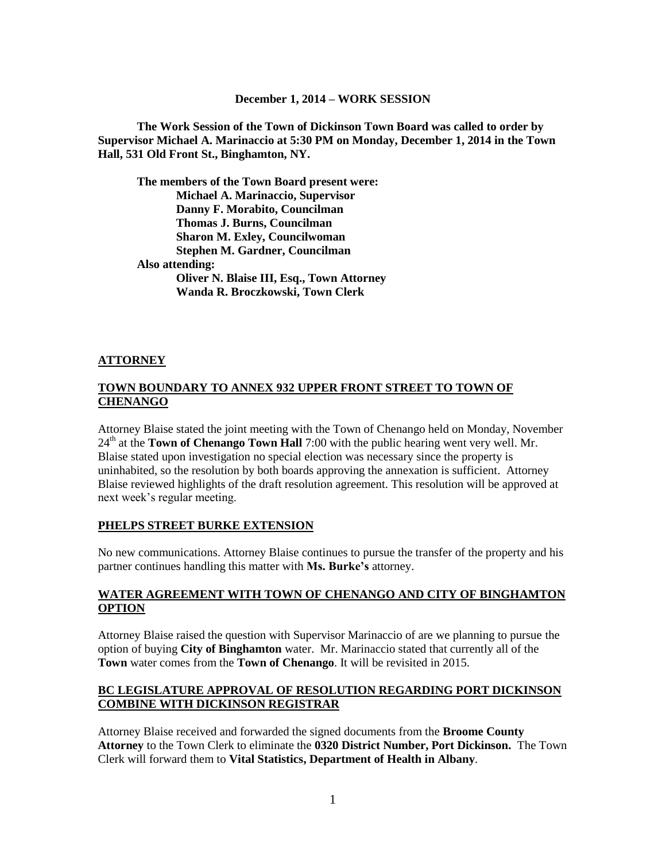#### **December 1, 2014 – WORK SESSION**

**The Work Session of the Town of Dickinson Town Board was called to order by Supervisor Michael A. Marinaccio at 5:30 PM on Monday, December 1, 2014 in the Town Hall, 531 Old Front St., Binghamton, NY.**

**The members of the Town Board present were: Michael A. Marinaccio, Supervisor Danny F. Morabito, Councilman Thomas J. Burns, Councilman Sharon M. Exley, Councilwoman Stephen M. Gardner, Councilman Also attending: Oliver N. Blaise III, Esq., Town Attorney Wanda R. Broczkowski, Town Clerk**

### **ATTORNEY**

### **TOWN BOUNDARY TO ANNEX 932 UPPER FRONT STREET TO TOWN OF CHENANGO**

Attorney Blaise stated the joint meeting with the Town of Chenango held on Monday, November 24<sup>th</sup> at the **Town of Chenango Town Hall** 7:00 with the public hearing went very well. Mr. Blaise stated upon investigation no special election was necessary since the property is uninhabited, so the resolution by both boards approving the annexation is sufficient. Attorney Blaise reviewed highlights of the draft resolution agreement. This resolution will be approved at next week's regular meeting.

#### **PHELPS STREET BURKE EXTENSION**

No new communications. Attorney Blaise continues to pursue the transfer of the property and his partner continues handling this matter with **Ms. Burke's** attorney.

### **WATER AGREEMENT WITH TOWN OF CHENANGO AND CITY OF BINGHAMTON OPTION**

Attorney Blaise raised the question with Supervisor Marinaccio of are we planning to pursue the option of buying **City of Binghamton** water. Mr. Marinaccio stated that currently all of the **Town** water comes from the **Town of Chenango**. It will be revisited in 2015.

### **BC LEGISLATURE APPROVAL OF RESOLUTION REGARDING PORT DICKINSON COMBINE WITH DICKINSON REGISTRAR**

Attorney Blaise received and forwarded the signed documents from the **Broome County Attorney** to the Town Clerk to eliminate the **0320 District Number, Port Dickinson.** The Town Clerk will forward them to **Vital Statistics, Department of Health in Albany**.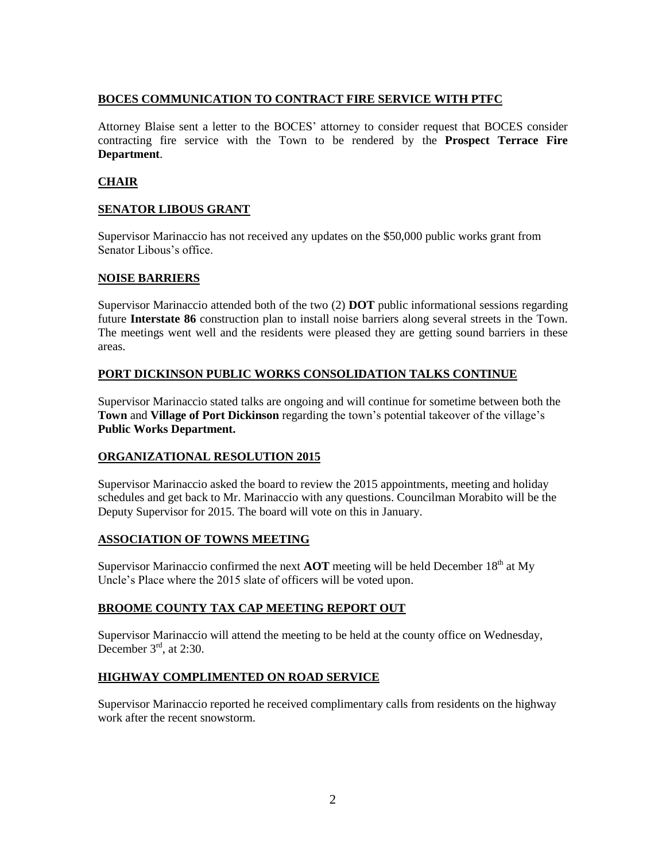# **BOCES COMMUNICATION TO CONTRACT FIRE SERVICE WITH PTFC**

Attorney Blaise sent a letter to the BOCES' attorney to consider request that BOCES consider contracting fire service with the Town to be rendered by the **Prospect Terrace Fire Department**.

# **CHAIR**

# **SENATOR LIBOUS GRANT**

Supervisor Marinaccio has not received any updates on the \$50,000 public works grant from Senator Libous's office.

### **NOISE BARRIERS**

Supervisor Marinaccio attended both of the two (2) **DOT** public informational sessions regarding future **Interstate 86** construction plan to install noise barriers along several streets in the Town. The meetings went well and the residents were pleased they are getting sound barriers in these areas.

### **PORT DICKINSON PUBLIC WORKS CONSOLIDATION TALKS CONTINUE**

Supervisor Marinaccio stated talks are ongoing and will continue for sometime between both the **Town** and **Village of Port Dickinson** regarding the town's potential takeover of the village's **Public Works Department.**

### **ORGANIZATIONAL RESOLUTION 2015**

Supervisor Marinaccio asked the board to review the 2015 appointments, meeting and holiday schedules and get back to Mr. Marinaccio with any questions. Councilman Morabito will be the Deputy Supervisor for 2015. The board will vote on this in January.

### **ASSOCIATION OF TOWNS MEETING**

Supervisor Marinaccio confirmed the next  $AOT$  meeting will be held December  $18<sup>th</sup>$  at My Uncle's Place where the 2015 slate of officers will be voted upon.

### **BROOME COUNTY TAX CAP MEETING REPORT OUT**

Supervisor Marinaccio will attend the meeting to be held at the county office on Wednesday, December  $3^{\text{rd}}$ , at 2:30.

# **HIGHWAY COMPLIMENTED ON ROAD SERVICE**

Supervisor Marinaccio reported he received complimentary calls from residents on the highway work after the recent snowstorm.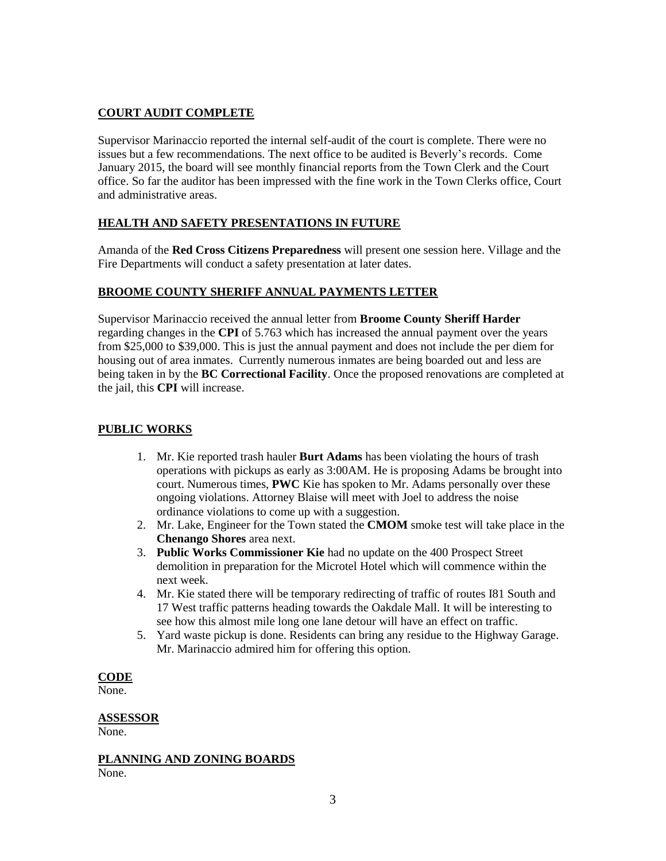# **COURT AUDIT COMPLETE**

Supervisor Marinaccio reported the internal self-audit of the court is complete. There were no issues but a few recommendations. The next office to be audited is Beverly's records. Come January 2015, the board will see monthly financial reports from the Town Clerk and the Court office. So far the auditor has been impressed with the fine work in the Town Clerks office, Court and administrative areas.

# **HEALTH AND SAFETY PRESENTATIONS IN FUTURE**

Amanda of the **Red Cross Citizens Preparedness** will present one session here. Village and the Fire Departments will conduct a safety presentation at later dates.

# **BROOME COUNTY SHERIFF ANNUAL PAYMENTS LETTER**

Supervisor Marinaccio received the annual letter from **Broome County Sheriff Harder** regarding changes in the **CPI** of 5.763 which has increased the annual payment over the years from \$25,000 to \$39,000. This is just the annual payment and does not include the per diem for housing out of area inmates. Currently numerous inmates are being boarded out and less are being taken in by the **BC Correctional Facility**. Once the proposed renovations are completed at the jail, this **CPI** will increase.

# **PUBLIC WORKS**

- 1. Mr. Kie reported trash hauler **Burt Adams** has been violating the hours of trash operations with pickups as early as 3:00AM. He is proposing Adams be brought into court. Numerous times, **PWC** Kie has spoken to Mr. Adams personally over these ongoing violations. Attorney Blaise will meet with Joel to address the noise ordinance violations to come up with a suggestion.
- 2. Mr. Lake, Engineer for the Town stated the **CMOM** smoke test will take place in the **Chenango Shores** area next.
- 3. **Public Works Commissioner Kie** had no update on the 400 Prospect Street demolition in preparation for the Microtel Hotel which will commence within the next week.
- 4. Mr. Kie stated there will be temporary redirecting of traffic of routes I81 South and 17 West traffic patterns heading towards the Oakdale Mall. It will be interesting to see how this almost mile long one lane detour will have an effect on traffic.
- 5. Yard waste pickup is done. Residents can bring any residue to the Highway Garage. Mr. Marinaccio admired him for offering this option.

# **CODE**

None.

# **ASSESSOR**

None.

**PLANNING AND ZONING BOARDS** None.